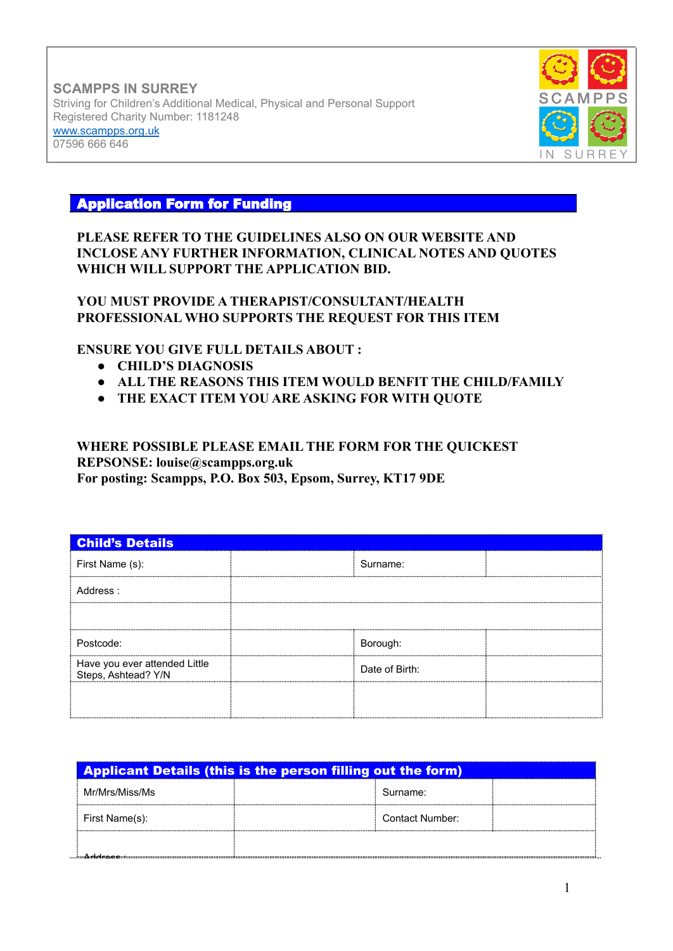**SCAMPPS IN SURREY** Striving for Children's Additional Medical, Physical and Personal Support Registered Charity Number: 1181248 [www.scampps.org.uk](http://www.scampps.org.uk) 07596 666 646



# Application Form for Funding

## **PLEASE REFER TO THE GUIDELINES ALSO ON OUR WEBSITE AND INCLOSE ANY FURTHER INFORMATION, CLINICAL NOTES AND QUOTES WHICH WILL SUPPORT THE APPLICATION BID.**

## **YOU MUST PROVIDE A THERAPIST/CONSULTANT/HEALTH PROFESSIONAL WHO SUPPORTS THE REQUEST FOR THIS ITEM**

### **ENSURE YOU GIVE FULL DETAILS ABOUT :**

- **● CHILD'S DIAGNOSIS**
- **● ALL THE REASONS THIS ITEM WOULD BENFIT THE CHILD/FAMILY**
- **● THE EXACT ITEM YOU ARE ASKING FOR WITH QUOTE**

#### **WHERE POSSIBLE PLEASE EMAIL THE FORM FOR THE QUICKEST REPSONSE: louise@scampps.org.uk For posting: Scampps, P.O. Box 503, Epsom, Surrey, KT17 9DE**

| <b>Child's Details</b>                               |  |                |  |
|------------------------------------------------------|--|----------------|--|
| First Name (s):                                      |  | Surname:       |  |
| Address:                                             |  |                |  |
|                                                      |  |                |  |
| Postcode:                                            |  | Borough:       |  |
| Have you ever attended Little<br>Steps, Ashtead? Y/N |  | Date of Birth: |  |
|                                                      |  |                |  |
|                                                      |  |                |  |

|                | <b>Applicant Details (this is the person filling out the form)</b> |  |
|----------------|--------------------------------------------------------------------|--|
| Mr/Mrs/Miss/Ms | Surname:                                                           |  |
| First Name(s): | Contact Number:                                                    |  |
|                |                                                                    |  |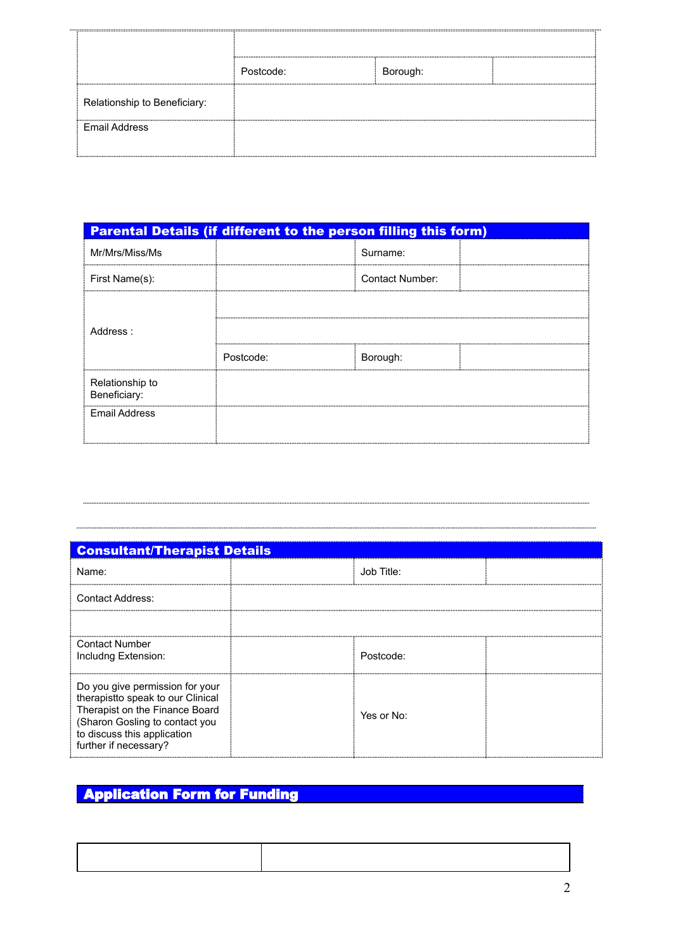| <u></u>                      | <br><br>  |          |  |
|------------------------------|-----------|----------|--|
|                              | Postcode: | Borough: |  |
| Relationship to Beneficiary: |           |          |  |
| Email Address                |           |          |  |

| <b>Parental Details (if different to the person filling this form)</b> |           |                        |  |
|------------------------------------------------------------------------|-----------|------------------------|--|
| Mr/Mrs/Miss/Ms                                                         |           | Surname:               |  |
| First Name(s):                                                         |           | <b>Contact Number:</b> |  |
| Address:                                                               |           |                        |  |
|                                                                        |           |                        |  |
|                                                                        | Postcode: | Borough:               |  |
| Relationship to<br>Beneficiary:                                        |           |                        |  |
| Email Address                                                          |           |                        |  |

| <b>Consultant/Therapist Details</b>                                                                                                                                                              |            |  |  |
|--------------------------------------------------------------------------------------------------------------------------------------------------------------------------------------------------|------------|--|--|
| Name:                                                                                                                                                                                            | Job Title: |  |  |
| <b>Contact Address:</b>                                                                                                                                                                          |            |  |  |
|                                                                                                                                                                                                  |            |  |  |
| <b>Contact Number</b><br>Includng Extension:                                                                                                                                                     | Postcode:  |  |  |
| Do you give permission for your<br>therapistto speak to our Clinical<br>Therapist on the Finance Board<br>(Sharon Gosling to contact you<br>to discuss this application<br>further if necessary? | Yes or No: |  |  |

# **Application Form for Funding**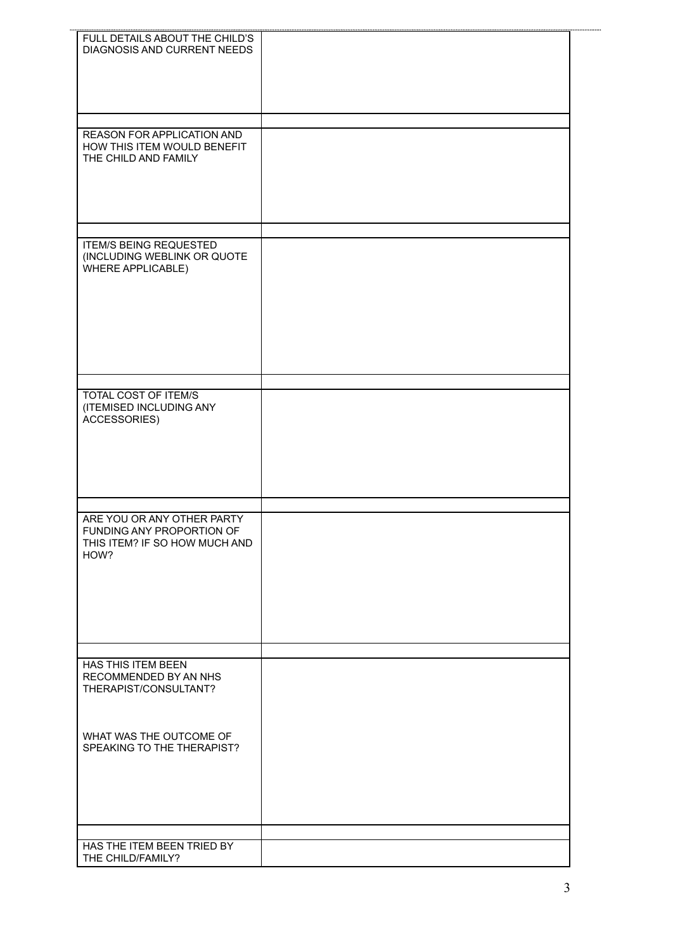| FULL DETAILS ABOUT THE CHILD'S<br>DIAGNOSIS AND CURRENT NEEDS                                    |  |
|--------------------------------------------------------------------------------------------------|--|
| REASON FOR APPLICATION AND<br>HOW THIS ITEM WOULD BENEFIT<br>THE CHILD AND FAMILY                |  |
| <b>ITEM/S BEING REQUESTED</b><br>(INCLUDING WEBLINK OR QUOTE<br>WHERE APPLICABLE)                |  |
| TOTAL COST OF ITEM/S<br>(ITEMISED INCLUDING ANY<br>ACCESSORIES)                                  |  |
| ARE YOU OR ANY OTHER PARTY<br>FUNDING ANY PROPORTION OF<br>THIS ITEM? IF SO HOW MUCH AND<br>HOW? |  |
| HAS THIS ITEM BEEN<br>RECOMMENDED BY AN NHS<br>THERAPIST/CONSULTANT?                             |  |
| WHAT WAS THE OUTCOME OF<br>SPEAKING TO THE THERAPIST?                                            |  |
| HAS THE ITEM BEEN TRIED BY                                                                       |  |
| THE CHILD/FAMILY?                                                                                |  |